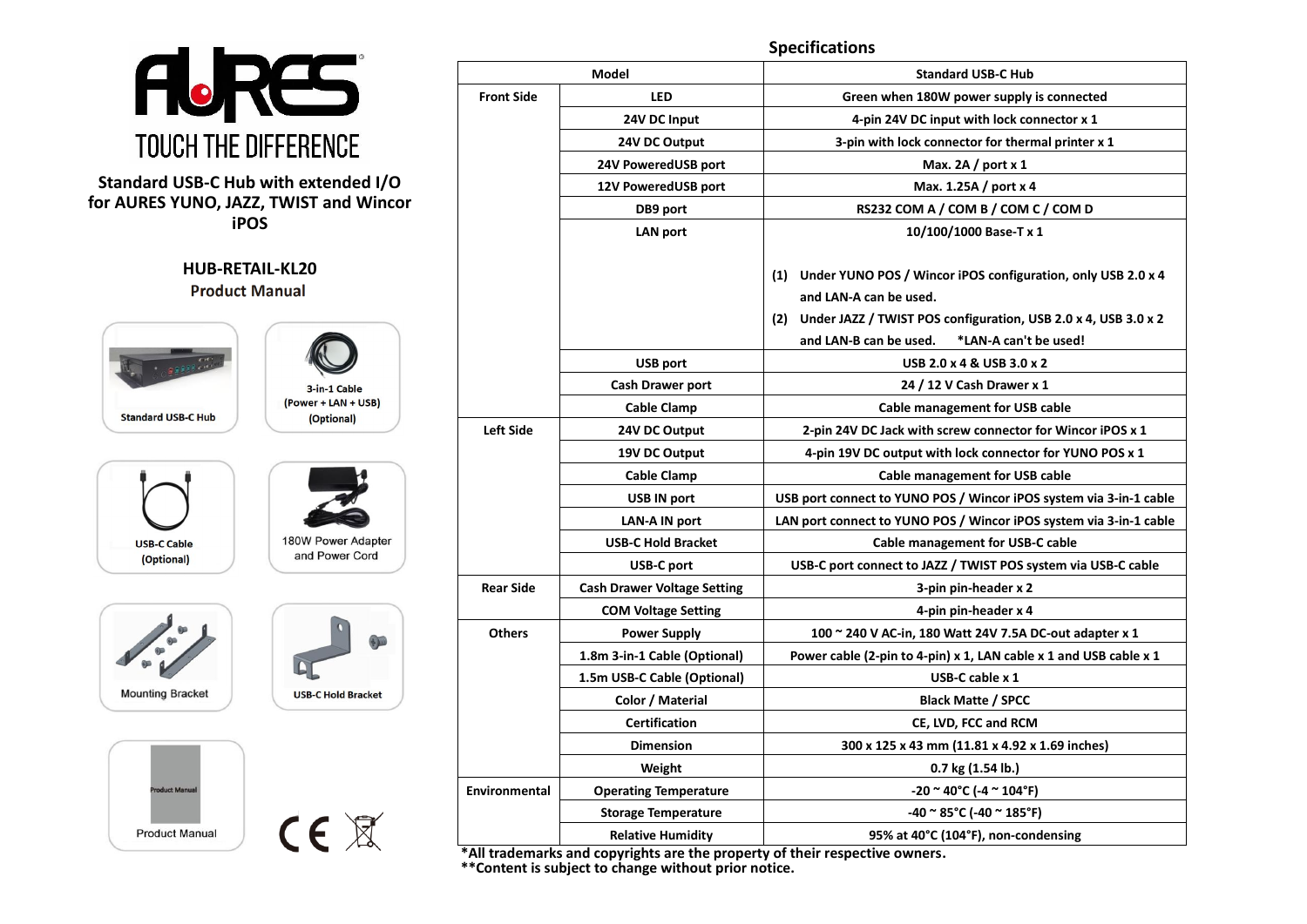#### **Specifications AJRES Model Standard USB-C Hub Front Side LED Green when 180W power supply is connected 24V DC Input 4-pin 24V DC input with lock connector x 1 TOUCH THE DIFFERENCE 24V DC Output 3-pin with lock connector for thermal printer x 1 24V PoweredUSB port Max. 2A / port x 1 Standard USB-C Hub with extended I/O 12V PoweredUSB port Max. 1.25A / port x 4 for AURES YUNO, JAZZ, TWIST and Wincor DB9 port RS232 COM A / COM B / COM C / COM D iPOS LAN port 10/100/1000 Base-T x 1 HUB-RETAIL-KL20 (1) Under YUNO POS / Wincor iPOS configuration, only USB 2.0 x 4 Product Manual and LAN-A can be used. (2) Under JAZZ / TWIST POS configuration, USB 2.0 x 4, USB 3.0 x 2 and LAN-B can be used. \*LAN-A can't be used! USB port USB 2.0 x 4 & USB 3.0 x 2 Cash Drawer port 24 / 12 V Cash Drawer x 1** 3-in-1 Cable (Power + LAN + USB) **Cable Clamp Cable management for USB cable Standard USB-C Hub** (Optional) **Left Side 24V DC Output 2-pin 24V DC Jack with screw connector for Wincor iPOS x 1 19V DC Output 4-pin 19V DC output with lock connector for YUNO POS x 1 Cable Clamp Cable management for USB cable USB IN port USB port connect to YUNO POS / Wincor iPOS system via 3-in-1 cable LAN-A IN port LAN port connect to YUNO POS / Wincor iPOS system via 3-in-1 cable** 180W Power Adapter **USB-C Cable USB-C Hold Bracket Cable management for USB-C cable** and Power Cord (Optional) **USB-C port USB-C port connect to JAZZ / TWIST POS system via USB-C cable Rear Side Cash Drawer Voltage Setting 3-pin pin-header x 2 COM Voltage Setting 4-pin pin-header x 4 Others Power Supply 100 ~ 240 V AC-in, 180 Watt 24V 7.5A DC-out adapter x 1 1.8m 3-in-1 Cable (Optional) Power cable (2-pin to 4-pin) x 1, LAN cable x 1 and USB cable x 1 1.5m USB-C Cable (Optional) USB-C cable x 1 Mounting Bracket USB-C Hold Bracket Color / Material Black Matte / SPCC Certification CE, LVD, FCC and RCM Dimension 300 x 125 x 43 mm (11.81 x 4.92 x 1.69 inches) Weight 0.7 kg (1.54 lb.)** duct Manu **Environmental Operating Temperature -20 ~ 40°C (-4 ~ 104°F) Storage Temperature -40 ~ 85°C (-40 ~ 185°F)**  $CE \times$ **Product Manual Relative Humidity 95% at 40°C (104°F), non-condensing**

**\*All trademarks and copyrights are the property of their respective owners.**

**\*\*Content is subject to change without prior notice.**